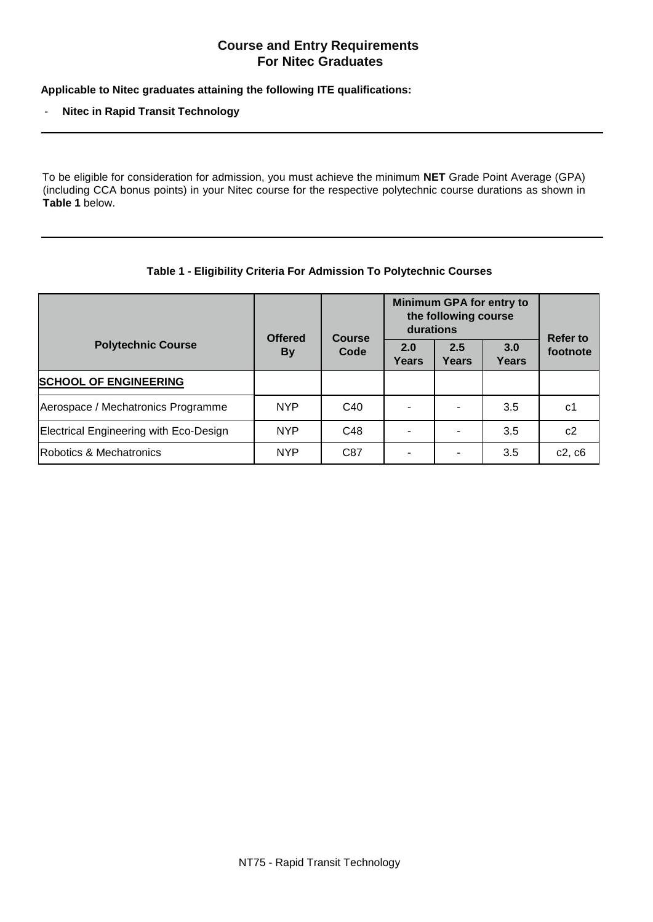## **Course and Entry Requirements For Nitec Graduates**

**Applicable to Nitec graduates attaining the following ITE qualifications:**

- **Nitec in Rapid Transit Technology**

To be eligible for consideration for admission, you must achieve the minimum **NET** Grade Point Average (GPA) (including CCA bonus points) in your Nitec course for the respective polytechnic course durations as shown in **Table 1** below.

| Table 1 - Eligibility Criteria For Admission To Polytechnic Courses |  |  |
|---------------------------------------------------------------------|--|--|
|---------------------------------------------------------------------|--|--|

|                                        | <b>Offered</b><br><b>By</b> | <b>Course</b><br>Code | Minimum GPA for entry to<br>the following course<br>durations |              |                     | <b>Refer to</b> |
|----------------------------------------|-----------------------------|-----------------------|---------------------------------------------------------------|--------------|---------------------|-----------------|
| <b>Polytechnic Course</b>              |                             |                       | 2.0<br>Years                                                  | 2.5<br>Years | 3.0<br><b>Years</b> | footnote        |
| <b>SCHOOL OF ENGINEERING</b>           |                             |                       |                                                               |              |                     |                 |
| Aerospace / Mechatronics Programme     | <b>NYP</b>                  | C <sub>40</sub>       |                                                               |              | 3.5                 | c1              |
| Electrical Engineering with Eco-Design | <b>NYP</b>                  | C48                   |                                                               |              | 3.5                 | c2              |
| Robotics & Mechatronics                | <b>NYP</b>                  | C87                   | ۰                                                             |              | 3.5                 | c2, c6          |